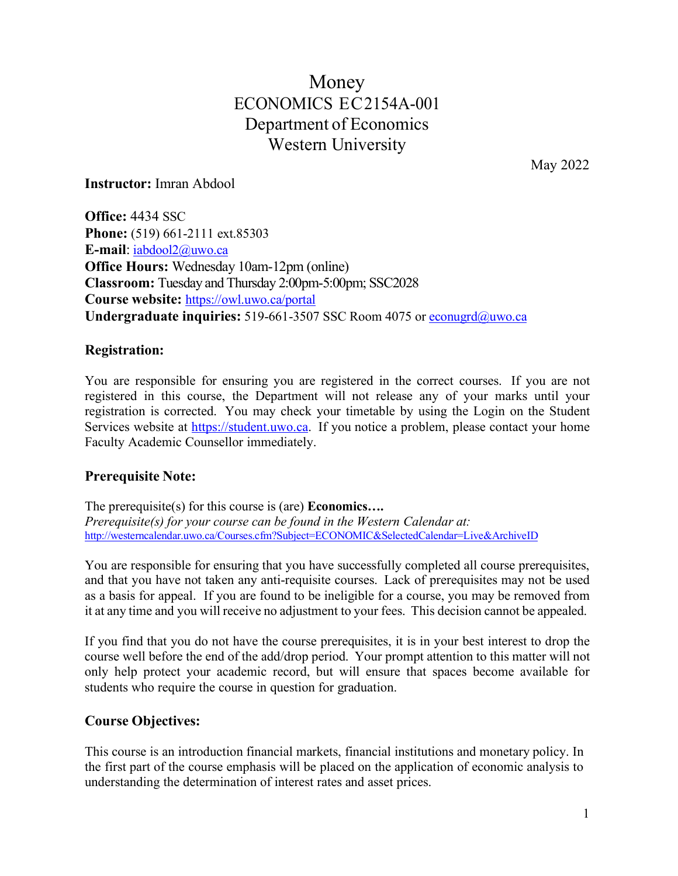# Money ECONOMICS EC2154A-001 Department of Economics Western University

May 2022

**Instructor:** Imran Abdool

**Office:** 4434 SSC **Phone:** (519) 661-2111 ext.85303 **E-mail**: [iabdool2@uwo.ca](mailto:iabdool2@uwo.ca) **Office Hours:** Wednesday 10am-12pm (online) **Classroom:** Tuesday and Thursday 2:00pm-5:00pm; SSC2028 **Course website:** <https://owl.uwo.ca/portal> **Undergraduate inquiries:** 519-661-3507 SSC Room 4075 or [econugrd@uwo.ca](mailto:econugrd@uwo.ca)

### **Registration:**

You are responsible for ensuring you are registered in the correct courses. If you are not registered in this course, the Department will not release any of your marks until your registration is corrected. You may check your timetable by using the Login on the Student Services website at [https://student.uwo.ca.](https://student.uwo.ca/) If you notice a problem, please contact your home Faculty Academic Counsellor immediately.

# **Prerequisite Note:**

The prerequisite(s) for this course is (are) **Economics….** *Prerequisite(s) for your course can be found in the Western Calendar at:* <http://westerncalendar.uwo.ca/Courses.cfm?Subject=ECONOMIC&SelectedCalendar=Live&ArchiveID>

You are responsible for ensuring that you have successfully completed all course prerequisites, and that you have not taken any anti-requisite courses. Lack of prerequisites may not be used as a basis for appeal. If you are found to be ineligible for a course, you may be removed from it at any time and you will receive no adjustment to your fees. This decision cannot be appealed.

If you find that you do not have the course prerequisites, it is in your best interest to drop the course well before the end of the add/drop period. Your prompt attention to this matter will not only help protect your academic record, but will ensure that spaces become available for students who require the course in question for graduation.

# **Course Objectives:**

This course is an introduction financial markets, financial institutions and monetary policy. In the first part of the course emphasis will be placed on the application of economic analysis to understanding the determination of interest rates and asset prices.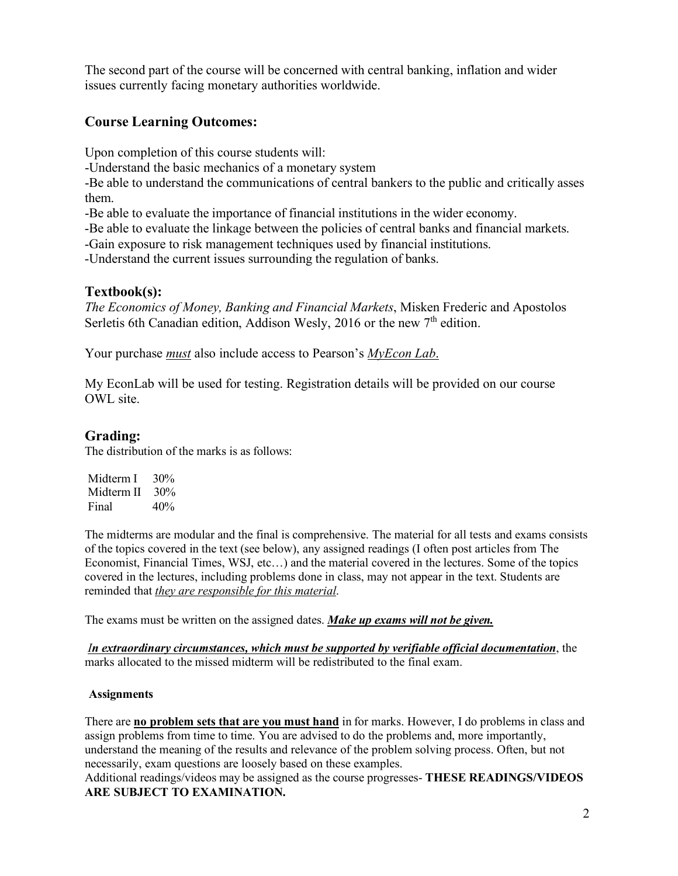The second part of the course will be concerned with central banking, inflation and wider issues currently facing monetary authorities worldwide.

### **Course Learning Outcomes:**

Upon completion of this course students will:

-Understand the basic mechanics of a monetary system

-Be able to understand the communications of central bankers to the public and critically asses them.

-Be able to evaluate the importance of financial institutions in the wider economy.

-Be able to evaluate the linkage between the policies of central banks and financial markets.

-Gain exposure to risk management techniques used by financial institutions.

-Understand the current issues surrounding the regulation of banks.

#### **Textbook(s):**

*The Economics of Money, Banking and Financial Markets*, Misken Frederic and Apostolos Serletis 6th Canadian edition, Addison Wesly, 2016 or the new  $7<sup>th</sup>$  edition.

Your purchase *must* also include access to Pearson's *MyEcon Lab*.

My EconLab will be used for testing. Registration details will be provided on our course OWL site.

### **Grading:**

The distribution of the marks is as follows:

| Midterm I  | 30% |
|------------|-----|
| Midterm II | 30% |
| Final      | 40% |

The midterms are modular and the final is comprehensive. The material for all tests and exams consists of the topics covered in the text (see below), any assigned readings (I often post articles from The Economist, Financial Times, WSJ, etc…) and the material covered in the lectures. Some of the topics covered in the lectures, including problems done in class, may not appear in the text. Students are reminded that *they are responsible for this material*.

The exams must be written on the assigned dates. *Make up exams will not be given.*

*In extraordinary circumstances, which must be supported by verifiable official documentation*, the marks allocated to the missed midterm will be redistributed to the final exam.

#### **Assignments**

There are **no problem sets that are you must hand** in for marks. However, I do problems in class and assign problems from time to time. You are advised to do the problems and, more importantly, understand the meaning of the results and relevance of the problem solving process. Often, but not necessarily, exam questions are loosely based on these examples.

Additional readings/videos may be assigned as the course progresses- **THESE READINGS/VIDEOS ARE SUBJECT TO EXAMINATION.**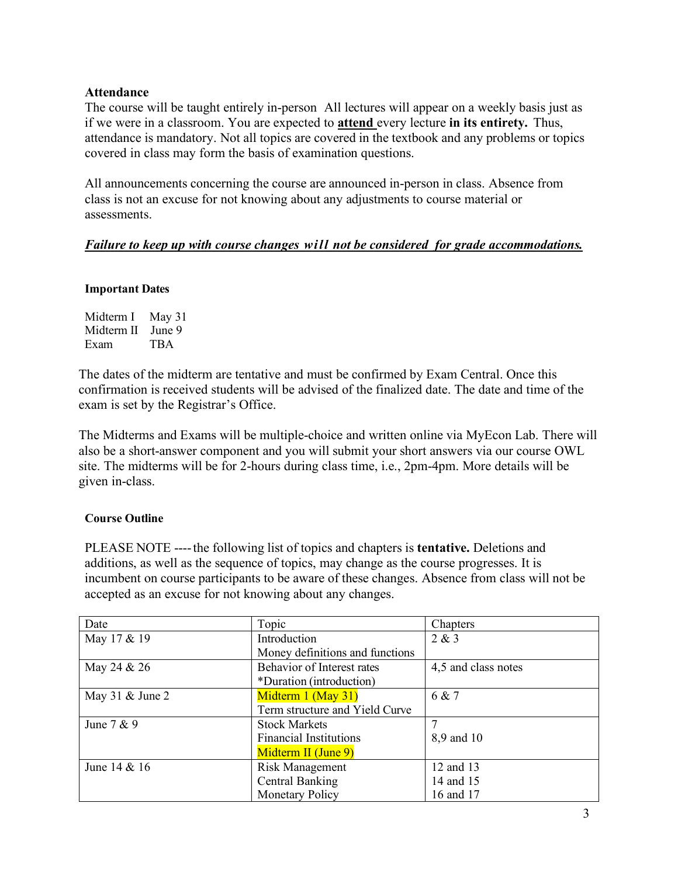#### **Attendance**

The course will be taught entirely in-person All lectures will appear on a weekly basis just as if we were in a classroom. You are expected to **attend** every lecture **in its entirety.** Thus, attendance is mandatory. Not all topics are covered in the textbook and any problems or topics covered in class may form the basis of examination questions.

All announcements concerning the course are announced in-person in class. Absence from class is not an excuse for not knowing about any adjustments to course material or assessments.

#### *Failure to keep up with course changes will not be considered for grade accommodations.*

#### **Important Dates**

| Midterm I  | May 31 |
|------------|--------|
| Midterm II | June 9 |
| Exam       | TBA    |

The dates of the midterm are tentative and must be confirmed by Exam Central. Once this confirmation is received students will be advised of the finalized date. The date and time of the exam is set by the Registrar's Office.

The Midterms and Exams will be multiple-choice and written online via MyEcon Lab. There will also be a short-answer component and you will submit your short answers via our course OWL site. The midterms will be for 2-hours during class time, i.e., 2pm-4pm. More details will be given in-class.

#### **Course Outline**

PLEASE NOTE ----the following list of topics and chapters is **tentative.** Deletions and additions, as well as the sequence of topics, may change as the course progresses. It is incumbent on course participants to be aware of these changes. Absence from class will not be accepted as an excuse for not knowing about any changes.

| Date              | Topic                           | Chapters            |
|-------------------|---------------------------------|---------------------|
| May 17 & 19       | Introduction                    | 2 & 3               |
|                   | Money definitions and functions |                     |
| May 24 & 26       | Behavior of Interest rates      | 4,5 and class notes |
|                   | *Duration (introduction)        |                     |
| May 31 $&$ June 2 | Midterm 1 (May 31)              | 6 & 7               |
|                   | Term structure and Yield Curve  |                     |
| June $7 & 9$      | <b>Stock Markets</b>            |                     |
|                   | <b>Financial Institutions</b>   | 8,9 and 10          |
|                   | Midterm II (June 9)             |                     |
| June 14 & 16      | Risk Management                 | 12 and 13           |
|                   | Central Banking                 | 14 and 15           |
|                   | Monetary Policy                 | 16 and 17           |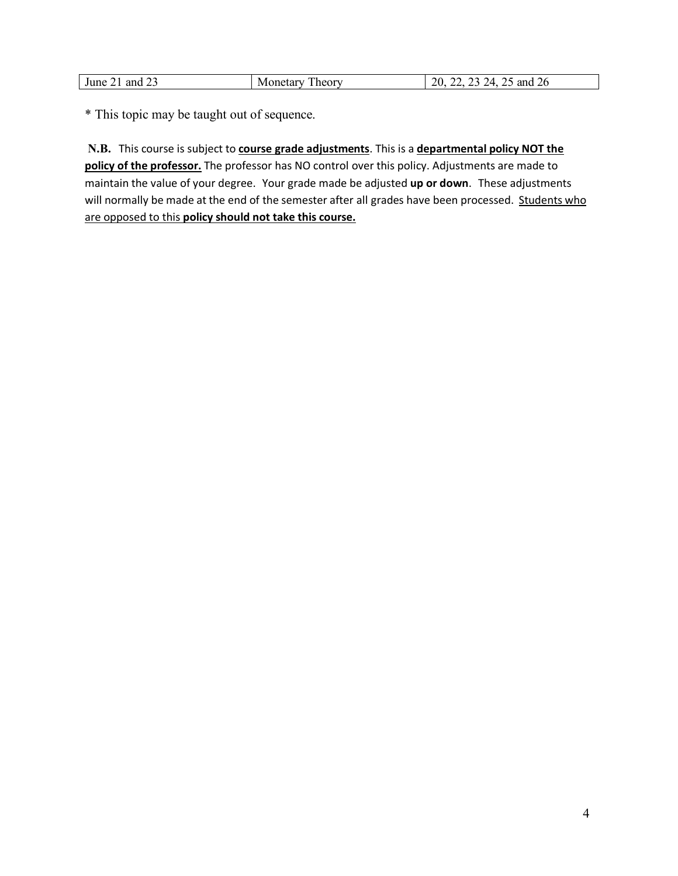| $\sim$ $\sim$<br>'une<br>ano | --<br>$-24$<br>---------<br>$\bf{W}$<br>ли.<br>. | ′⊿<br>$\sim$<br>∠∪<br>-<br>. .<br>___<br>__ |
|------------------------------|--------------------------------------------------|---------------------------------------------|

\* This topic may be taught out of sequence.

**N.B.** This course is subject to **course grade adjustments**. This is a **departmental policy NOT the policy of the professor.** The professor has NO control over this policy. Adjustments are made to maintain the value of your degree. Your grade made be adjusted **up or down**. These adjustments will normally be made at the end of the semester after all grades have been processed. Students who are opposed to this **policy should not take this course.**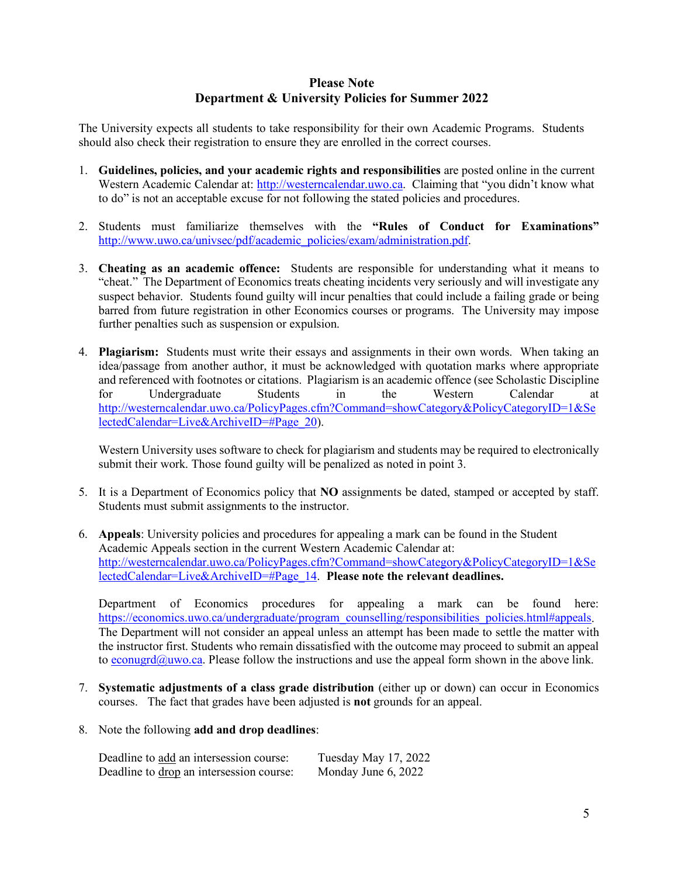#### **Please Note Department & University Policies for Summer 2022**

The University expects all students to take responsibility for their own Academic Programs. Students should also check their registration to ensure they are enrolled in the correct courses.

- 1. **Guidelines, policies, and your academic rights and responsibilities** are posted online in the current Western Academic Calendar at: [http://westerncalendar.uwo.ca.](http://westerncalendar.uwo.ca/) Claiming that "you didn't know what to do" is not an acceptable excuse for not following the stated policies and procedures.
- 2. Students must familiarize themselves with the **"Rules of Conduct for Examinations"** [http://www.uwo.ca/univsec/pdf/academic\\_policies/exam/administration.pdf.](http://www.uwo.ca/univsec/pdf/academic_policies/exam/administration.pdf)
- 3. **Cheating as an academic offence:** Students are responsible for understanding what it means to "cheat." The Department of Economics treats cheating incidents very seriously and will investigate any suspect behavior. Students found guilty will incur penalties that could include a failing grade or being barred from future registration in other Economics courses or programs. The University may impose further penalties such as suspension or expulsion.
- 4. **Plagiarism:** Students must write their essays and assignments in their own words. When taking an idea/passage from another author, it must be acknowledged with quotation marks where appropriate and referenced with footnotes or citations. Plagiarism is an academic offence (see Scholastic Discipline for Undergraduate Students in the Western Calendar at [http://westerncalendar.uwo.ca/PolicyPages.cfm?Command=showCategory&PolicyCategoryID=1&Se](http://westerncalendar.uwo.ca/PolicyPages.cfm?Command=showCategory&PolicyCategoryID=1&SelectedCalendar=Live&ArchiveID=#Page_20) [lectedCalendar=Live&ArchiveID=#Page\\_20\)](http://westerncalendar.uwo.ca/PolicyPages.cfm?Command=showCategory&PolicyCategoryID=1&SelectedCalendar=Live&ArchiveID=#Page_20).

Western University uses software to check for plagiarism and students may be required to electronically submit their work. Those found guilty will be penalized as noted in point 3.

- 5. It is a Department of Economics policy that **NO** assignments be dated, stamped or accepted by staff. Students must submit assignments to the instructor.
- 6. **Appeals**: University policies and procedures for appealing a mark can be found in the Student Academic Appeals section in the current Western Academic Calendar at: [http://westerncalendar.uwo.ca/PolicyPages.cfm?Command=showCategory&PolicyCategoryID=1&Se](http://westerncalendar.uwo.ca/PolicyPages.cfm?Command=showCategory&PolicyCategoryID=1&SelectedCalendar=Live&ArchiveID=#Page_14) [lectedCalendar=Live&ArchiveID=#Page\\_14.](http://westerncalendar.uwo.ca/PolicyPages.cfm?Command=showCategory&PolicyCategoryID=1&SelectedCalendar=Live&ArchiveID=#Page_14) **Please note the relevant deadlines.**

Department of Economics procedures for appealing a mark can be found here: [https://economics.uwo.ca/undergraduate/program\\_counselling/responsibilities\\_policies.html#appeals.](https://economics.uwo.ca/undergraduate/program_counselling/responsibilities_policies.html#appeals) The Department will not consider an appeal unless an attempt has been made to settle the matter with the instructor first. Students who remain dissatisfied with the outcome may proceed to submit an appeal to [econugrd@uwo.ca.](mailto:econugrd@uwo.ca) Please follow the instructions and use the appeal form shown in the above link.

- 7. **Systematic adjustments of a class grade distribution** (either up or down) can occur in Economics courses. The fact that grades have been adjusted is **not** grounds for an appeal.
- 8. Note the following **add and drop deadlines**:

| Deadline to add an intersession course:  | Tuesday May 17, 2022 |
|------------------------------------------|----------------------|
| Deadline to drop an intersession course: | Monday June 6, 2022  |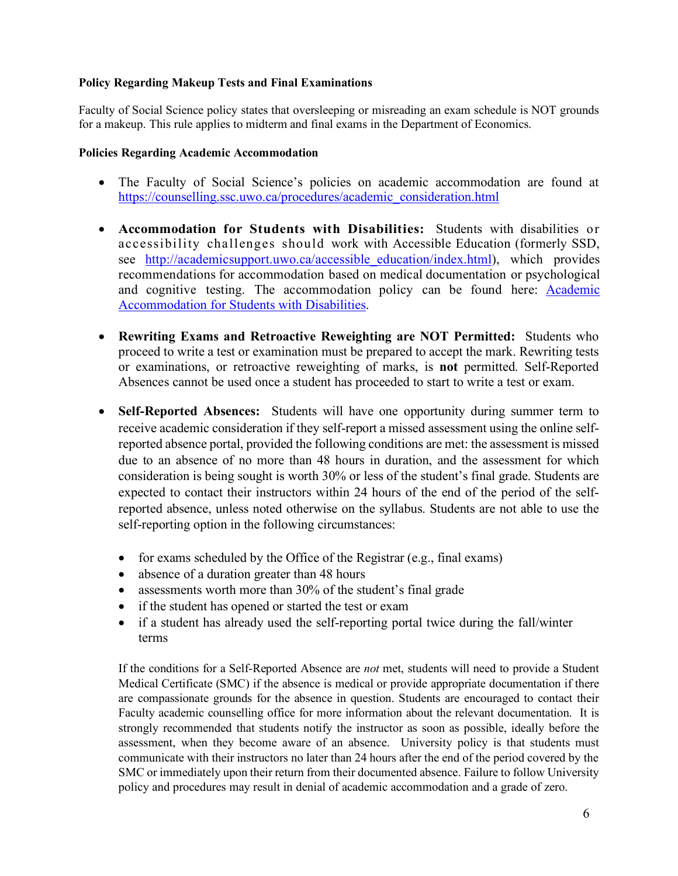#### **Policy Regarding Makeup Tests and Final Examinations**

Faculty of Social Science policy states that oversleeping or misreading an exam schedule is NOT grounds for a makeup. This rule applies to midterm and final exams in the Department of Economics.

#### **Policies Regarding Academic Accommodation**

- The Faculty of Social Science's policies on academic accommodation are found at [https://counselling.ssc.uwo.ca/procedures/academic\\_consideration.html](https://counselling.ssc.uwo.ca/procedures/academic_consideration.html)
- **Accommodation for Students with Disabilities:** Students with disabilities or accessibility challenges should work with Accessible Education (formerly SSD, see http://academicsupport.uwo.ca/accessible education/index.html), which provides recommendations for accommodation based on medical documentation or psychological and cognitive testing. The accommodation policy can be found here: **Academic** [Accommodation for Students with Disabilities.](https://www.uwo.ca/univsec/pdf/academic_policies/appeals/Academic%20Accommodation_disabilities.pdf)
- **Rewriting Exams and Retroactive Reweighting are NOT Permitted:** Students who proceed to write a test or examination must be prepared to accept the mark. Rewriting tests or examinations, or retroactive reweighting of marks, is **not** permitted. Self-Reported Absences cannot be used once a student has proceeded to start to write a test or exam.
- **Self-Reported Absences:** Students will have one opportunity during summer term to receive academic consideration if they self-report a missed assessment using the online selfreported absence portal, provided the following conditions are met: the assessment is missed due to an absence of no more than 48 hours in duration, and the assessment for which consideration is being sought is worth 30% or less of the student's final grade. Students are expected to contact their instructors within 24 hours of the end of the period of the selfreported absence, unless noted otherwise on the syllabus. Students are not able to use the self-reporting option in the following circumstances:
	- for exams scheduled by the Office of the Registrar (e.g., final exams)
	- absence of a duration greater than 48 hours
	- assessments worth more than 30% of the student's final grade
	- if the student has opened or started the test or exam
	- if a student has already used the self-reporting portal twice during the fall/winter terms

If the conditions for a Self-Reported Absence are *not* met, students will need to provide a Student Medical Certificate (SMC) if the absence is medical or provide appropriate documentation if there are compassionate grounds for the absence in question. Students are encouraged to contact their Faculty academic counselling office for more information about the relevant documentation. It is strongly recommended that students notify the instructor as soon as possible, ideally before the assessment, when they become aware of an absence. University policy is that students must communicate with their instructors no later than 24 hours after the end of the period covered by the SMC or immediately upon their return from their documented absence. Failure to follow University policy and procedures may result in denial of academic accommodation and a grade of zero.